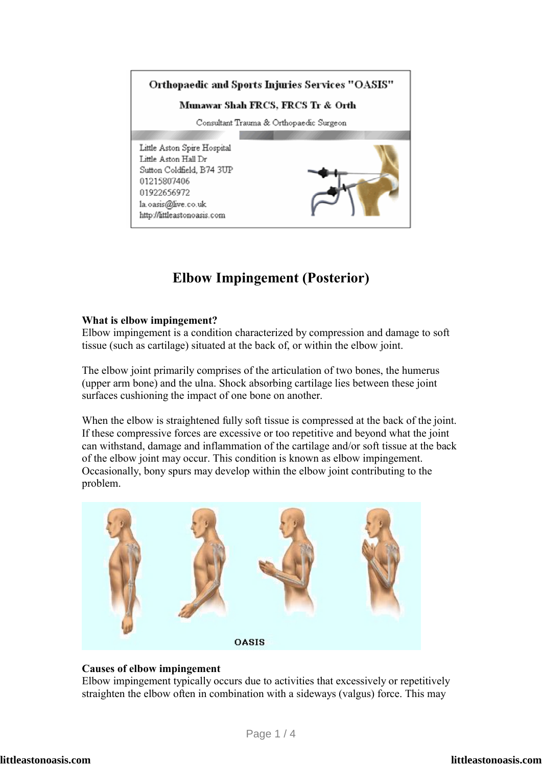

# **Elbow Impingement (Posterior)**

### **What is elbow impingement?**

Elbow impingement is a condition characterized by compression and damage to soft tissue (such as cartilage) situated at the back of, or within the elbow joint.

The elbow joint primarily comprises of the articulation of two bones, the humerus (upper arm bone) and the ulna. Shock absorbing cartilage lies between these joint surfaces cushioning the impact of one bone on another.

When the elbow is straightened fully soft tissue is compressed at the back of the joint. If these compressive forces are excessive or too repetitive and beyond what the joint can withstand, damage and inflammation of the cartilage and/or soft tissue at the back of the elbow joint may occur. This condition is known as elbow impingement. Occasionally, bony spurs may develop within the elbow joint contributing to the problem.



# **Causes of elbow impingement**

Elbow impingement typically occurs due to activities that excessively or repetitively straighten the elbow often in combination with a sideways (valgus) force. This may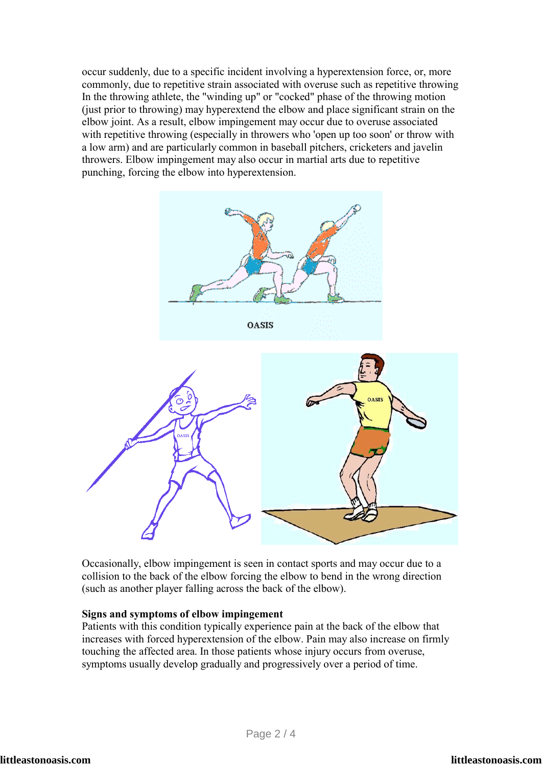occur suddenly, due to a specific incident involving a hyperextension force, or, more commonly, due to repetitive strain associated with overuse such as repetitive throwing In the throwing athlete, the "winding up" or "cocked" phase of the throwing motion (just prior to throwing) may hyperextend the elbow and place significant strain on the elbow joint. As a result, elbow impingement may occur due to overuse associated with repetitive throwing (especially in throwers who 'open up too soon' or throw with a low arm) and are particularly common in baseball pitchers, cricketers and javelin throwers. Elbow impingement may also occur in martial arts due to repetitive punching, forcing the elbow into hyperextension.



Occasionally, elbow impingement is seen in contact sports and may occur due to a collision to the back of the elbow forcing the elbow to bend in the wrong direction (such as another player falling across the back of the elbow).

#### **Signs and symptoms of elbow impingement**

Patients with this condition typically experience pain at the back of the elbow that increases with forced hyperextension of the elbow. Pain may also increase on firmly touching the affected area. In those patients whose injury occurs from overuse, symptoms usually develop gradually and progressively over a period of time.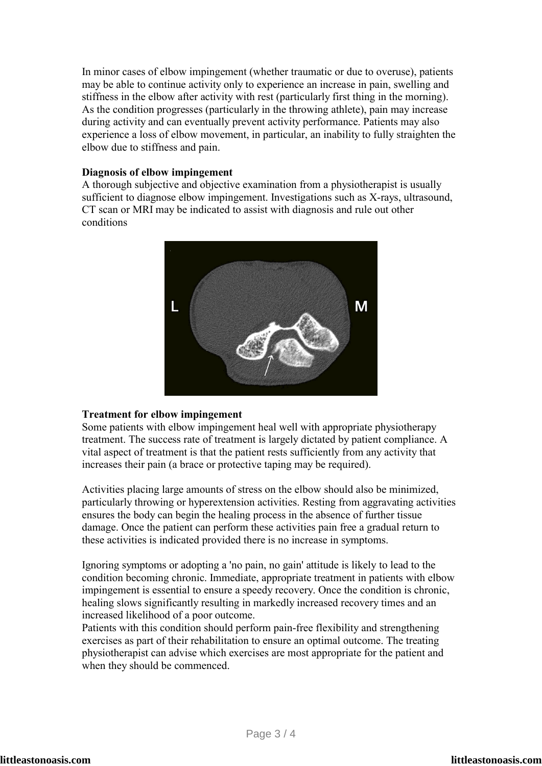In minor cases of elbow impingement (whether traumatic or due to overuse), patients may be able to continue activity only to experience an increase in pain, swelling and stiffness in the elbow after activity with rest (particularly first thing in the morning). As the condition progresses (particularly in the throwing athlete), pain may increase during activity and can eventually prevent activity performance. Patients may also experience a loss of elbow movement, in particular, an inability to fully straighten the elbow due to stiffness and pain.

## **Diagnosis of elbow impingement**

A thorough subjective and objective examination from a physiotherapist is usually sufficient to diagnose elbow impingement. Investigations such as X-rays, ultrasound, CT scan or MRI may be indicated to assist with diagnosis and rule out other conditions



#### **Treatment for elbow impingement**

Some patients with elbow impingement heal well with appropriate physiotherapy treatment. The success rate of treatment is largely dictated by patient compliance. A vital aspect of treatment is that the patient rests sufficiently from any activity that increases their pain (a brace or protective taping may be required).

Activities placing large amounts of stress on the elbow should also be minimized, particularly throwing or hyperextension activities. Resting from aggravating activities ensures the body can begin the healing process in the absence of further tissue damage. Once the patient can perform these activities pain free a gradual return to these activities is indicated provided there is no increase in symptoms.

Ignoring symptoms or adopting a 'no pain, no gain' attitude is likely to lead to the condition becoming chronic. Immediate, appropriate treatment in patients with elbow impingement is essential to ensure a speedy recovery. Once the condition is chronic, healing slows significantly resulting in markedly increased recovery times and an increased likelihood of a poor outcome.

Patients with this condition should perform pain-free flexibility and strengthening exercises as part of their rehabilitation to ensure an optimal outcome. The treating physiotherapist can advise which exercises are most appropriate for the patient and when they should be commenced.